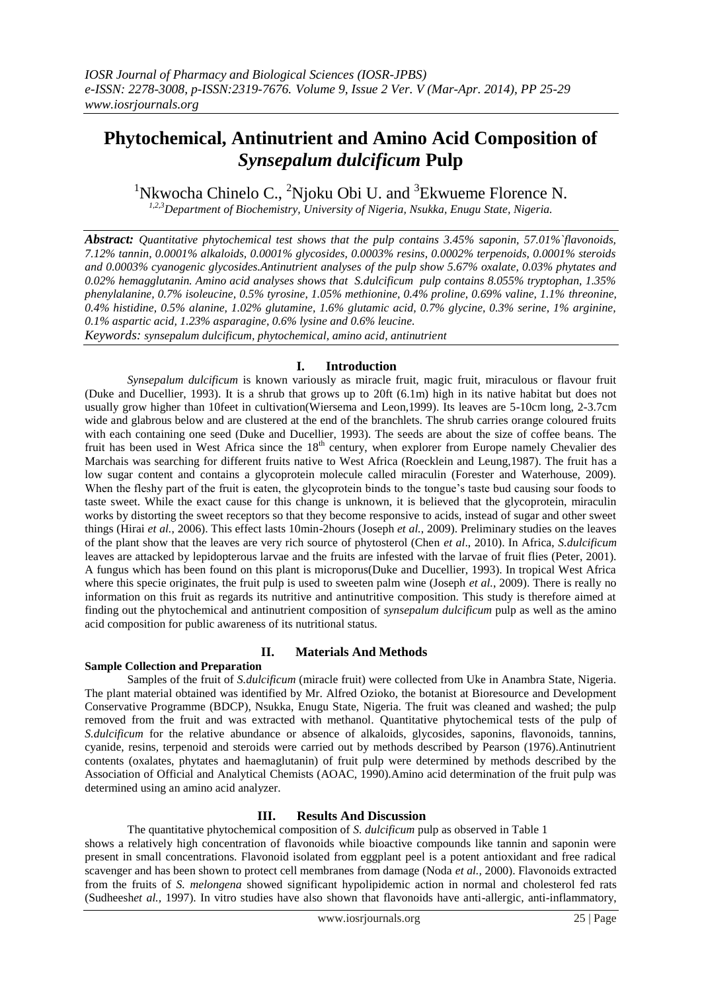# **Phytochemical, Antinutrient and Amino Acid Composition of**  *Synsepalum dulcificum* **Pulp**

<sup>1</sup>Nkwocha Chinelo C., <sup>2</sup>Njoku Obi U. and <sup>3</sup>Ekwueme Florence N.

*1,2,3Department of Biochemistry, University of Nigeria, Nsukka, Enugu State, Nigeria.*

*Abstract: Quantitative phytochemical test shows that the pulp contains 3.45% saponin, 57.01%`flavonoids, 7.12% tannin, 0.0001% alkaloids, 0.0001% glycosides, 0.0003% resins, 0.0002% terpenoids, 0.0001% steroids and 0.0003% cyanogenic glycosides.Antinutrient analyses of the pulp show 5.67% oxalate, 0.03% phytates and 0.02% hemagglutanin. Amino acid analyses shows that S.dulcificum pulp contains 8.055% tryptophan, 1.35% phenylalanine, 0.7% isoleucine, 0.5% tyrosine, 1.05% methionine, 0.4% proline, 0.69% valine, 1.1% threonine, 0.4% histidine, 0.5% alanine, 1.02% glutamine, 1.6% glutamic acid, 0.7% glycine, 0.3% serine, 1% arginine, 0.1% aspartic acid, 1.23% asparagine, 0.6% lysine and 0.6% leucine.*

*Keywords: synsepalum dulcificum, phytochemical, amino acid, antinutrient*

#### **I. Introduction**

*Synsepalum dulcificum* is known variously as miracle fruit, magic fruit, miraculous or flavour fruit (Duke and Ducellier, 1993). It is a shrub that grows up to 20ft (6.1m) high in its native habitat but does not usually grow higher than 10feet in cultivation(Wiersema and Leon,1999). Its leaves are 5-10cm long, 2-3.7cm wide and glabrous below and are clustered at the end of the branchlets. The shrub carries orange coloured fruits with each containing one seed (Duke and Ducellier, 1993). The seeds are about the size of coffee beans. The fruit has been used in West Africa since the 18<sup>th</sup> century, when explorer from Europe namely Chevalier des Marchais was searching for different fruits native to West Africa (Roecklein and Leung,1987). The fruit has a low sugar content and contains a glycoprotein molecule called miraculin (Forester and Waterhouse, 2009). When the fleshy part of the fruit is eaten, the glycoprotein binds to the tongue's taste bud causing sour foods to taste sweet. While the exact cause for this change is unknown, it is believed that the glycoprotein, miraculin works by distorting the sweet receptors so that they become responsive to acids, instead of sugar and other sweet things (Hirai *et al.*, 2006). This effect lasts 10min-2hours (Joseph *et al.*, 2009). Preliminary studies on the leaves of the plant show that the leaves are very rich source of phytosterol (Chen *et al*., 2010). In Africa, *S.dulcificum* leaves are attacked by lepidopterous larvae and the fruits are infested with the larvae of fruit flies (Peter, 2001). A fungus which has been found on this plant is microporus(Duke and Ducellier, 1993). In tropical West Africa where this specie originates, the fruit pulp is used to sweeten palm wine (Joseph *et al.*, 2009). There is really no information on this fruit as regards its nutritive and antinutritive composition. This study is therefore aimed at finding out the phytochemical and antinutrient composition of *synsepalum dulcificum* pulp as well as the amino acid composition for public awareness of its nutritional status.

## **Sample Collection and Preparation**

## **II. Materials And Methods**

Samples of the fruit of *S.dulcificum* (miracle fruit) were collected from Uke in Anambra State, Nigeria. The plant material obtained was identified by Mr. Alfred Ozioko, the botanist at Bioresource and Development Conservative Programme (BDCP), Nsukka, Enugu State, Nigeria. The fruit was cleaned and washed; the pulp removed from the fruit and was extracted with methanol. Quantitative phytochemical tests of the pulp of *S.dulcificum* for the relative abundance or absence of alkaloids, glycosides, saponins, flavonoids, tannins, cyanide, resins, terpenoid and steroids were carried out by methods described by Pearson (1976).Antinutrient contents (oxalates, phytates and haemaglutanin) of fruit pulp were determined by methods described by the Association of Official and Analytical Chemists (AOAC, 1990).Amino acid determination of the fruit pulp was determined using an amino acid analyzer.

## **III. Results And Discussion**

The quantitative phytochemical composition of *S. dulcificum* pulp as observed in Table 1

shows a relatively high concentration of flavonoids while bioactive compounds like tannin and saponin were present in small concentrations. Flavonoid isolated from eggplant peel is a potent antioxidant and free radical scavenger and has been shown to protect cell membranes from damage (Noda *et al.,* 2000). Flavonoids extracted from the fruits of *S. melongena* showed significant hypolipidemic action in normal and cholesterol fed rats (Sudheesh*et al.,* 1997). In vitro studies have also shown that flavonoids have anti-allergic, anti-inflammatory,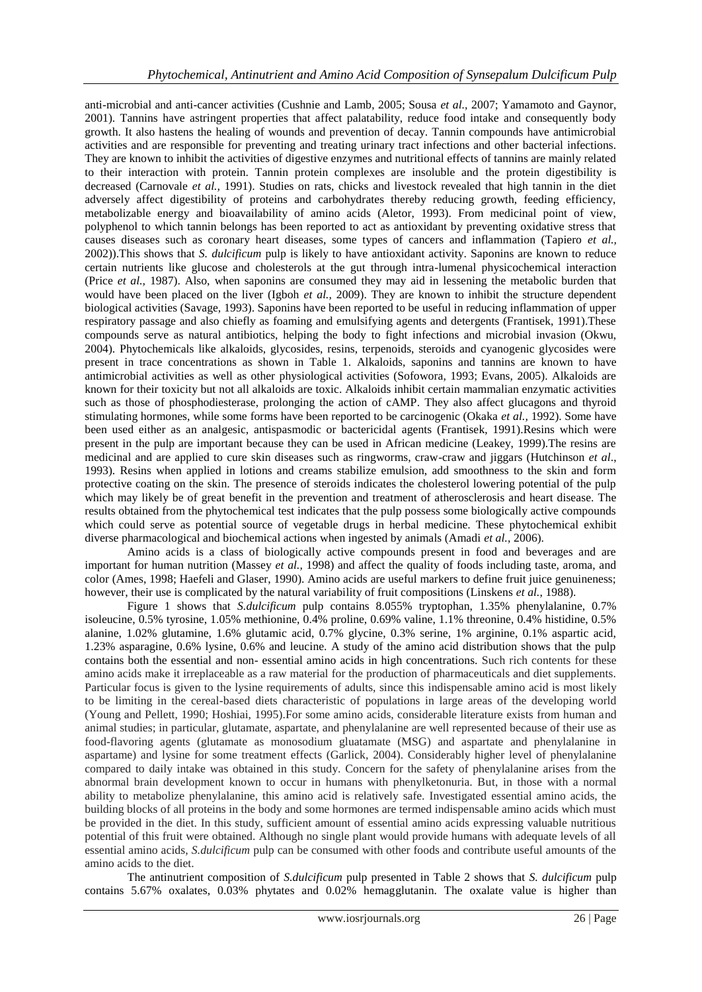anti-microbial and anti-cancer activities (Cushnie and Lamb, 2005; Sousa *et al.,* 2007; Yamamoto and Gaynor, 2001). Tannins have astringent properties that affect palatability, reduce food intake and consequently body growth. It also hastens the healing of wounds and prevention of decay. Tannin compounds have antimicrobial activities and are responsible for preventing and treating urinary tract infections and other bacterial infections. They are known to inhibit the activities of digestive enzymes and nutritional effects of tannins are mainly related to their interaction with protein. Tannin protein complexes are insoluble and the protein digestibility is decreased (Carnovale *et al.,* 1991). Studies on rats, chicks and livestock revealed that high tannin in the diet adversely affect digestibility of proteins and carbohydrates thereby reducing growth, feeding efficiency, metabolizable energy and bioavailability of amino acids (Aletor, 1993). From medicinal point of view, polyphenol to which tannin belongs has been reported to act as antioxidant by preventing oxidative stress that causes diseases such as coronary heart diseases, some types of cancers and inflammation (Tapiero *et al.,*  2002)).This shows that *S. dulcificum* pulp is likely to have antioxidant activity. Saponins are known to reduce certain nutrients like glucose and cholesterols at the gut through intra-lumenal physicochemical interaction (Price *et al.,* 1987). Also, when saponins are consumed they may aid in lessening the metabolic burden that would have been placed on the liver (Igboh *et al.,* 2009). They are known to inhibit the structure dependent biological activities (Savage, 1993). Saponins have been reported to be useful in reducing inflammation of upper respiratory passage and also chiefly as foaming and emulsifying agents and detergents (Frantisek, 1991).These compounds serve as natural antibiotics, helping the body to fight infections and microbial invasion (Okwu, 2004). Phytochemicals like alkaloids, glycosides, resins, terpenoids, steroids and cyanogenic glycosides were present in trace concentrations as shown in Table 1. Alkaloids, saponins and tannins are known to have antimicrobial activities as well as other physiological activities (Sofowora, 1993; Evans, 2005). Alkaloids are known for their toxicity but not all alkaloids are toxic. Alkaloids inhibit certain mammalian enzymatic activities such as those of phosphodiesterase, prolonging the action of cAMP. They also affect glucagons and thyroid stimulating hormones, while some forms have been reported to be carcinogenic (Okaka *et al.,* 1992). Some have been used either as an analgesic, antispasmodic or bactericidal agents (Frantisek, 1991).Resins which were present in the pulp are important because they can be used in African medicine (Leakey, 1999).The resins are medicinal and are applied to cure skin diseases such as ringworms, craw-craw and jiggars (Hutchinson *et al*., 1993). Resins when applied in lotions and creams stabilize emulsion, add smoothness to the skin and form protective coating on the skin. The presence of steroids indicates the cholesterol lowering potential of the pulp which may likely be of great benefit in the prevention and treatment of atherosclerosis and heart disease. The results obtained from the phytochemical test indicates that the pulp possess some biologically active compounds which could serve as potential source of vegetable drugs in herbal medicine. These phytochemical exhibit diverse pharmacological and biochemical actions when ingested by animals (Amadi *et al.,* 2006).

Amino acids is a class of biologically active compounds present in food and beverages and are important for human nutrition (Massey *et al.,* 1998) and affect the quality of foods including taste, aroma, and color (Ames, 1998; Haefeli and Glaser, 1990). Amino acids are useful markers to define fruit juice genuineness; however, their use is complicated by the natural variability of fruit compositions (Linskens *et al.,* 1988).

Figure 1 shows that *S.dulcificum* pulp contains 8.055% tryptophan, 1.35% phenylalanine, 0.7% isoleucine, 0.5% tyrosine, 1.05% methionine, 0.4% proline, 0.69% valine, 1.1% threonine, 0.4% histidine, 0.5% alanine, 1.02% glutamine, 1.6% glutamic acid, 0.7% glycine, 0.3% serine, 1% arginine, 0.1% aspartic acid, 1.23% asparagine, 0.6% lysine, 0.6% and leucine. A study of the amino acid distribution shows that the pulp contains both the essential and non- essential amino acids in high concentrations. Such rich contents for these amino acids make it irreplaceable as a raw material for the production of pharmaceuticals and diet supplements. Particular focus is given to the lysine requirements of adults, since this indispensable amino acid is most likely to be limiting in the cereal-based diets characteristic of populations in large areas of the developing world (Young and Pellett, 1990; Hoshiai, 1995).For some amino acids, considerable literature exists from human and animal studies; in particular, glutamate, aspartate, and phenylalanine are well represented because of their use as food-flavoring agents (glutamate as monosodium gluatamate (MSG) and aspartate and phenylalanine in aspartame) and lysine for some treatment effects (Garlick, 2004). Considerably higher level of phenylalanine compared to daily intake was obtained in this study. Concern for the safety of phenylalanine arises from the abnormal brain development known to occur in humans with phenylketonuria. But, in those with a normal ability to metabolize phenylalanine, this amino acid is relatively safe. Investigated essential amino acids, the building blocks of all proteins in the body and some hormones are termed indispensable amino acids which must be provided in the diet. In this study, sufficient amount of essential amino acids expressing valuable nutritious potential of this fruit were obtained. Although no single plant would provide humans with adequate levels of all essential amino acids, *S.dulcificum* pulp can be consumed with other foods and contribute useful amounts of the amino acids to the diet.

The antinutrient composition of *S.dulcificum* pulp presented in Table 2 shows that *S. dulcificum* pulp contains 5.67% oxalates, 0.03% phytates and 0.02% hemagglutanin. The oxalate value is higher than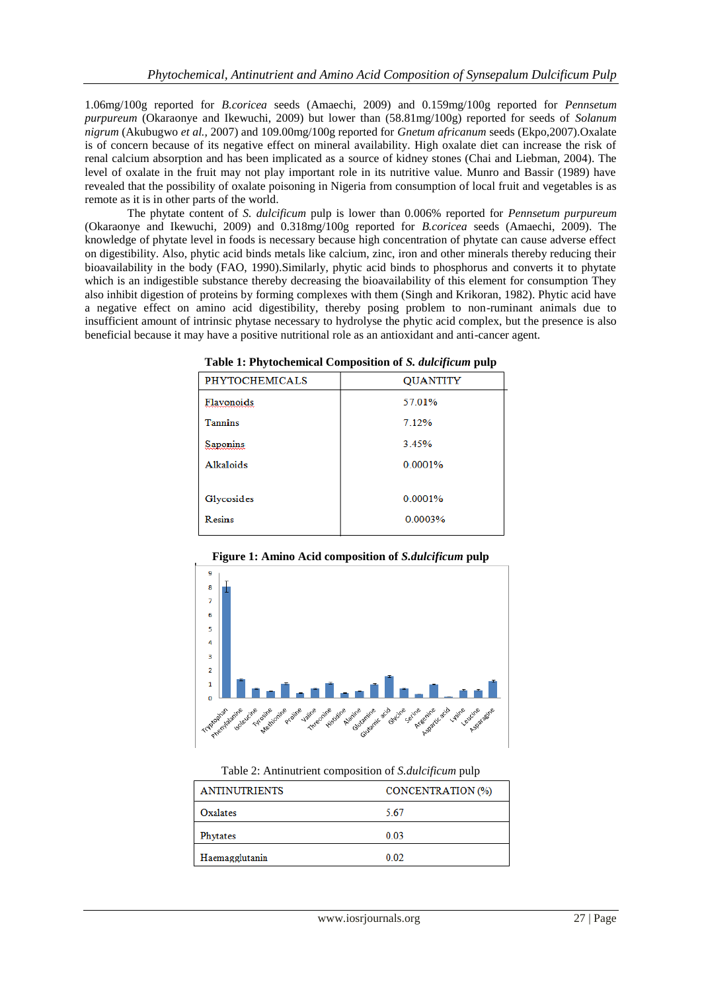1.06mg/100g reported for *B.coricea* seeds (Amaechi, 2009) and 0.159mg/100g reported for *Pennsetum purpureum* (Okaraonye and Ikewuchi, 2009) but lower than (58.81mg/100g) reported for seeds of *Solanum nigrum* (Akubugwo *et al.,* 2007) and 109.00mg/100g reported for *Gnetum africanum* seeds (Ekpo,2007).Oxalate is of concern because of its negative effect on mineral availability. High oxalate diet can increase the risk of renal calcium absorption and has been implicated as a source of kidney stones (Chai and Liebman, 2004). The level of oxalate in the fruit may not play important role in its nutritive value. Munro and Bassir (1989) have revealed that the possibility of oxalate poisoning in Nigeria from consumption of local fruit and vegetables is as remote as it is in other parts of the world.

The phytate content of *S. dulcificum* pulp is lower than 0.006% reported for *Pennsetum purpureum* (Okaraonye and Ikewuchi, 2009) and 0.318mg/100g reported for *B.coricea* seeds (Amaechi, 2009). The knowledge of phytate level in foods is necessary because high concentration of phytate can cause adverse effect on digestibility. Also, phytic acid binds metals like calcium, zinc, iron and other minerals thereby reducing their bioavailability in the body (FAO, 1990).Similarly, phytic acid binds to phosphorus and converts it to phytate which is an indigestible substance thereby decreasing the bioavailability of this element for consumption They also inhibit digestion of proteins by forming complexes with them (Singh and Krikoran, 1982). Phytic acid have a negative effect on amino acid digestibility, thereby posing problem to non-ruminant animals due to insufficient amount of intrinsic phytase necessary to hydrolyse the phytic acid complex, but the presence is also beneficial because it may have a positive nutritional role as an antioxidant and anti-cancer agent.

| $\tilde{\phantom{a}}$ | v<br>л.         |
|-----------------------|-----------------|
| <b>PHYTOCHEMICALS</b> | <b>QUANTITY</b> |
| Flavonoids            | 57.01%          |
| <b>Tannins</b>        | 7.12%           |
| <b>Saponins</b>       | 3.45%           |
| <b>Alkaloids</b>      | 0.0001%         |
|                       |                 |
| Glycosides            | 0.0001%         |
| Resins                | 0.0003%         |
|                       |                 |

**Table 1: Phytochemical Composition of** *S. dulcificum* **pulp**



**Figure 1: Amino Acid composition of** *S.dulcificum* **pulp**

Table 2: Antinutrient composition of *S.dulcificum* pulp

| <b>ANTINUTRIENTS</b> | CONCENTRATION (%) |
|----------------------|-------------------|
| Oxalates             | 5.67              |
| Phytates             | 0.03              |
| Haemagglutanin       | 0.02              |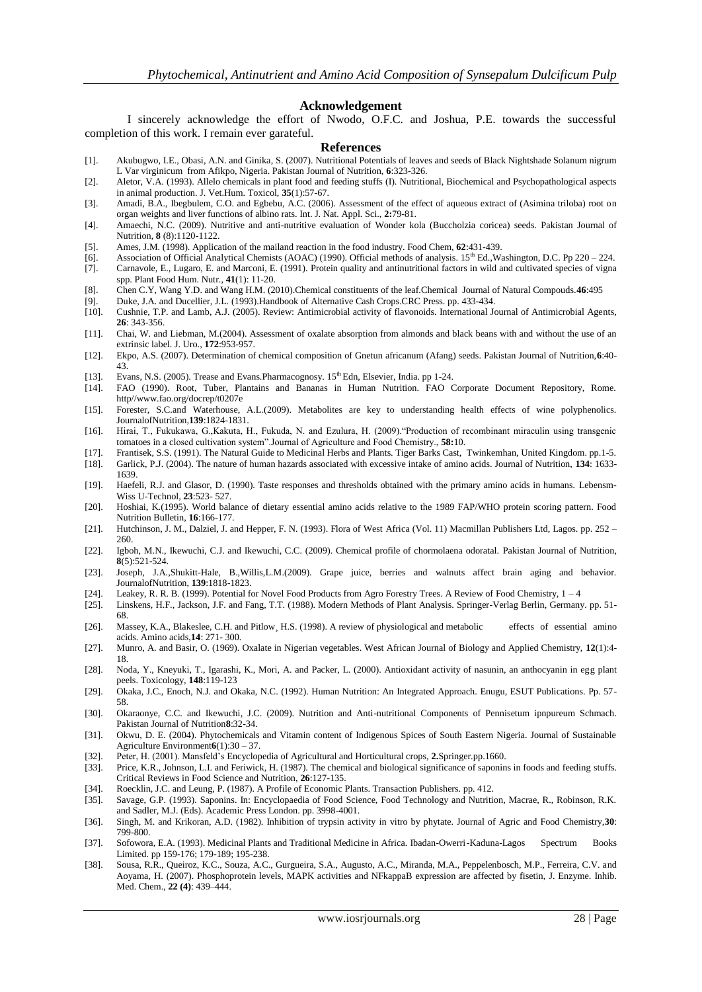#### **Acknowledgement**

I sincerely acknowledge the effort of Nwodo, O.F.C. and Joshua, P.E. towards the successful completion of this work. I remain ever garateful.

#### **References**

- [1]. Akubugwo, I.E., Obasi, A.N. and Ginika, S. (2007). Nutritional Potentials of leaves and seeds of Black Nightshade Solanum nigrum L Var virginicum from Afikpo, Nigeria. Pakistan Journal of Nutrition, **6**:323-326.
- [2]. Aletor, V.A. (1993). Allelo chemicals in plant food and feeding stuffs (I). Nutritional, Biochemical and Psychopathological aspects in animal production. J. Vet.Hum. Toxicol, **35**(1):57-67.
- [3]. Amadi, B.A., Ibegbulem, C.O. and Egbebu, A.C. (2006). Assessment of the effect of aqueous extract of (Asimina triloba) root on organ weights and liver functions of albino rats. Int. J. Nat. Appl. Sci., **2:**79-81.
- [4]. Amaechi, N.C. (2009). Nutritive and anti-nutritive evaluation of Wonder kola (Buccholzia coricea) seeds. Pakistan Journal of Nutrition, **8** (8):1120-1122.
- [5]. Ames, J.M. (1998). Application of the mailand reaction in the food industry. Food Chem, **62**:431-439.
- [6]. Association of Official Analytical Chemists (AOAC) (1990). Official methods of analysis. 15th Ed.,Washington, D.C. Pp 220 224. [7]. Carnavole, E., Lugaro, E. and Marconi, E. (1991). Protein quality and antinutritional factors in wild and cultivated species of vigna spp. Plant Food Hum. Nutr., **41**(1): 11-20.
- [8]. Chen C.Y, Wang Y.D. and Wang H.M. (2010).Chemical constituents of the leaf.Chemical Journal of Natural Compouds.**46**:495
- [9]. Duke, J.A. and Ducellier, J.L. (1993).Handbook of Alternative Cash Crops.CRC Press. pp. 433-434.
- [10]. Cushnie, T.P. and Lamb, A.J. (2005). Review: Antimicrobial activity of flavonoids. International Journal of Antimicrobial Agents, **26**: 343-356.
- [11]. Chai, W. and Liebman, M.(2004). Assessment of oxalate absorption from almonds and black beans with and without the use of an extrinsic label. J. Uro., **172**:953-957.
- [12]. Ekpo, A.S. (2007). Determination of chemical composition of Gnetun africanum (Afang) seeds. Pakistan Journal of Nutrition,**6**:40- 43.
- [13]. Evans, N.S. (2005). Trease and Evans.Pharmacognosy. 15th Edn, Elsevier, India. pp 1-24.
- [14]. FAO (1990). Root, Tuber, Plantains and Bananas in Human Nutrition. FAO Corporate Document Repository, Rome. http//www.fao.org/docrep/t0207e
- [15]. Forester, S.C.and Waterhouse, A.L.(2009). Metabolites are key to understanding health effects of wine polyphenolics. JournalofNutrition,**139**:1824-1831.
- [16]. Hirai, T., Fukukawa, G.,Kakuta, H., Fukuda, N. and Ezulura, H. (2009)."Production of recombinant miraculin using transgenic tomatoes in a closed cultivation system".Journal of Agriculture and Food Chemistry., **58:**10.
- [17]. Frantisek, S.S. (1991). The Natural Guide to Medicinal Herbs and Plants. Tiger Barks Cast, Twinkemhan, United Kingdom. pp.1-5.
- [18]. Garlick, P.J. (2004). The nature of human hazards associated with excessive intake of amino acids. Journal of Nutrition, **134**: 1633- 1639.
- [19]. Haefeli, R.J. and Glasor, D. (1990). Taste responses and thresholds obtained with the primary amino acids in humans. Lebensm-Wiss U-Technol, **23**:523- 527.
- [20]. Hoshiai, K.(1995). World balance of dietary essential amino acids relative to the 1989 FAP/WHO protein scoring pattern. Food Nutrition Bulletin, **16**:166-177.
- [21]. Hutchinson, J. M., Dalziel, J. and Hepper, F. N. (1993). Flora of West Africa (Vol. 11) Macmillan Publishers Ltd, Lagos. pp. 252 260.
- [22]. Igboh, M.N., Ikewuchi, C.J. and Ikewuchi, C.C. (2009). Chemical profile of chormolaena odoratal. Pakistan Journal of Nutrition, **8**(5):521-524.
- [23]. Joseph, J.A.,Shukitt-Hale, B.,Willis,L.M.(2009). Grape juice, berries and walnuts affect brain aging and behavior. JournalofNutrition, **139**:1818-1823.
- [24]. Leakey, R. R. B. (1999). Potential for Novel Food Products from Agro Forestry Trees. A Review of Food Chemistry, 1 4
- [25]. Linskens, H.F., Jackson, J.F. and Fang, T.T. (1988). Modern Methods of Plant Analysis. Springer-Verlag Berlin, Germany. pp. 51- 68.
- [26]. Massey, K.A., Blakeslee, C.H. and Pitlow¸ H.S. (1998). A review of physiological and metabolic effects of essential amino acids. Amino acids,**14**: 271- 300.
- [27]. Munro, A. and Basir, O. (1969). Oxalate in Nigerian vegetables. West African Journal of Biology and Applied Chemistry, **12**(1):4- 18.
- [28]. Noda, Y., Kneyuki, T., Igarashi, K., Mori, A. and Packer, L. (2000). Antioxidant activity of nasunin, an anthocyanin in egg plant peels. Toxicology, **148**:119-123
- [29]. Okaka, J.C., Enoch, N.J. and Okaka, N.C. (1992). Human Nutrition: An Integrated Approach. Enugu, ESUT Publications. Pp. 57- 58.
- [30]. Okaraonye, C.C. and Ikewuchi, J.C. (2009). Nutrition and Anti-nutritional Components of Pennisetum ipnpureum Schmach. Pakistan Journal of Nutrition**8**:32-34.
- [31]. Okwu, D. E. (2004). Phytochemicals and Vitamin content of Indigenous Spices of South Eastern Nigeria. Journal of Sustainable Agriculture Environment**6**(1):30 – 37.
- [32]. Peter, H. (2001). Mansfeld's Encyclopedia of Agricultural and Horticultural crops, **2.**Springer.pp.1660.
- [33]. Price, K.R., Johnson, L.I. and Feriwick, H. (1987). The chemical and biological significance of saponins in foods and feeding stuffs. Critical Reviews in Food Science and Nutrition, **26**:127-135.
- [34]. Roecklin, J.C. and Leung, P. (1987). A Profile of Economic Plants. Transaction Publishers. pp. 412.
- [35]. Savage, G.P. (1993). Saponins. In: Encyclopaedia of Food Science, Food Technology and Nutrition, Macrae, R., Robinson, R.K. and Sadler, M.J. (Eds). Academic Press London. pp. 3998-4001.
- [36]. Singh, M. and Krikoran, A.D. (1982). Inhibition of trypsin activity in vitro by phytate. Journal of Agric and Food Chemistry,**30**: 799-800.
- [37]. Sofowora, E.A. (1993). Medicinal Plants and Traditional Medicine in Africa. Ibadan-Owerri-Kaduna-Lagos Spectrum Books Limited. pp 159-176; 179-189; 195-238.
- [38]. Sousa, R.R., Queiroz, K.C., Souza, A.C., Gurgueira, S.A., Augusto, A.C., Miranda, M.A., Peppelenbosch, M.P., Ferreira, C.V. and Aoyama, H. (2007). Phosphoprotein levels, MAPK activities and NFkappaB expression are affected by fisetin, J. Enzyme. Inhib. Med. Chem., **22 (4)**: 439–444.